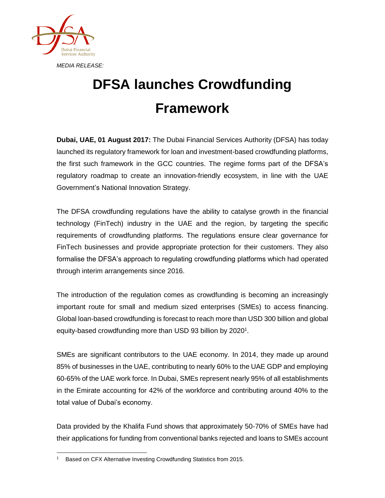

## **DFSA launches Crowdfunding Framework**

**Dubai, UAE, 01 August 2017:** The Dubai Financial Services Authority (DFSA) has today launched its regulatory framework for loan and investment-based crowdfunding platforms, the first such framework in the GCC countries. The regime forms part of the DFSA's regulatory roadmap to create an innovation-friendly ecosystem, in line with the UAE Government's National Innovation Strategy.

The DFSA crowdfunding regulations have the ability to catalyse growth in the financial technology (FinTech) industry in the UAE and the region, by targeting the specific requirements of crowdfunding platforms. The regulations ensure clear governance for FinTech businesses and provide appropriate protection for their customers. They also formalise the DFSA's approach to regulating crowdfunding platforms which had operated through interim arrangements since 2016.

The introduction of the regulation comes as crowdfunding is becoming an increasingly important route for small and medium sized enterprises (SMEs) to access financing. Global loan-based crowdfunding is forecast to reach more than USD 300 billion and global equity-based crowdfunding more than USD 93 billion by 2020<sup>1</sup>.

SMEs are significant contributors to the UAE economy. In 2014, they made up around 85% of businesses in the UAE, contributing to nearly 60% to the UAE GDP and employing 60-65% of the UAE work force. In Dubai, SMEs represent nearly 95% of all establishments in the Emirate accounting for 42% of the workforce and contributing around 40% to the total value of Dubai's economy.

Data provided by the Khalifa Fund shows that approximately 50-70% of SMEs have had their applications for funding from conventional banks rejected and loans to SMEs account

 <sup>1</sup> Based on CFX Alternative Investing Crowdfunding Statistics from 2015.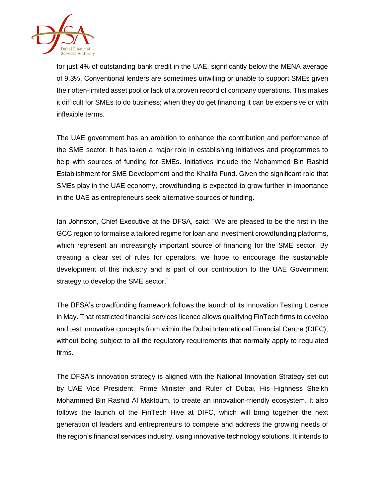

for just 4% of outstanding bank credit in the UAE, significantly below the MENA average of 9.3%. Conventional lenders are sometimes unwilling or unable to support SMEs given their often-limited asset pool or lack of a proven record of company operations. This makes it difficult for SMEs to do business; when they do get financing it can be expensive or with inflexible terms.

The UAE government has an ambition to enhance the contribution and performance of the SME sector. It has taken a major role in establishing initiatives and programmes to help with sources of funding for SMEs. Initiatives include the Mohammed Bin Rashid Establishment for SME Development and the Khalifa Fund. Given the significant role that SMEs play in the UAE economy, crowdfunding is expected to grow further in importance in the UAE as entrepreneurs seek alternative sources of funding.

Ian Johnston, Chief Executive at the DFSA, said: "We are pleased to be the first in the GCC region to formalise a tailored regime for loan and investment crowdfunding platforms, which represent an increasingly important source of financing for the SME sector. By creating a clear set of rules for operators, we hope to encourage the sustainable development of this industry and is part of our contribution to the UAE Government strategy to develop the SME sector."

The DFSA's crowdfunding framework follows the launch of its Innovation Testing Licence in May. That restricted financial services licence allows qualifying FinTech firms to develop and test innovative concepts from within the Dubai International Financial Centre (DIFC), without being subject to all the regulatory requirements that normally apply to regulated firms.

The DFSA's innovation strategy is aligned with the National Innovation Strategy set out by UAE Vice President, Prime Minister and Ruler of Dubai, His Highness Sheikh Mohammed Bin Rashid Al Maktoum, to create an innovation-friendly ecosystem. It also follows the launch of the FinTech Hive at DIFC, which will bring together the next generation of leaders and entrepreneurs to compete and address the growing needs of the region's financial services industry, using innovative technology solutions. It intends to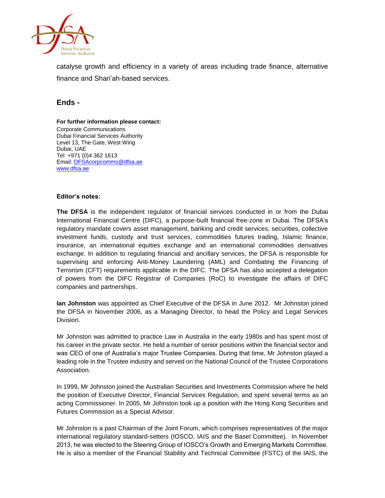

catalyse growth and efficiency in a variety of areas including trade finance, alternative finance and Shari'ah-based services.

## **Ends -**

## **For further information please contact:**

Corporate Communications Dubai Financial Services Authority Level 13, The Gate, West Wing Dubai, UAE Tel: +971 (0)4 362 1613 Email[: DFSAcorpcomms@dfsa.ae](mailto:DFSAcorpcomms@dfsa.ae) [www.dfsa.ae](http://www.dfsa.ae/)

## **Editor's notes:**

**The DFSA** is the independent regulator of financial services conducted in or from the Dubai International Financial Centre (DIFC), a purpose-built financial free-zone in Dubai. The DFSA's regulatory mandate covers asset management, banking and credit services, securities, collective investment funds, custody and trust services, commodities futures trading, Islamic finance, insurance, an international equities exchange and an international commodities derivatives exchange. In addition to regulating financial and ancillary services, the DFSA is responsible for supervising and enforcing Anti-Money Laundering (AML) and Combating the Financing of Terrorism (CFT) requirements applicable in the DIFC. The DFSA has also accepted a delegation of powers from the DIFC Registrar of Companies (RoC) to investigate the affairs of DIFC companies and partnerships.

**Ian Johnston** was appointed as Chief Executive of the DFSA in June 2012. Mr Johnston joined the DFSA in November 2006, as a Managing Director, to head the Policy and Legal Services Division.

Mr Johnston was admitted to practice Law in Australia in the early 1980s and has spent most of his career in the private sector. He held a number of senior positions within the financial sector and was CEO of one of Australia's major Trustee Companies. During that time, Mr Johnston played a leading role in the Trustee industry and served on the National Council of the Trustee Corporations Association.

In 1999, Mr Johnston joined the Australian Securities and Investments Commission where he held the position of Executive Director, Financial Services Regulation, and spent several terms as an acting Commissioner. In 2005, Mr Johnston took up a position with the Hong Kong Securities and Futures Commission as a Special Advisor.

Mr Johnston is a past Chairman of the Joint Forum, which comprises representatives of the major international regulatory standard-setters (IOSCO, IAIS and the Basel Committee). In November 2013, he was elected to the Steering Group of IOSCO's Growth and Emerging Markets Committee. He is also a member of the Financial Stability and Technical Committee (FSTC) of the IAIS, the